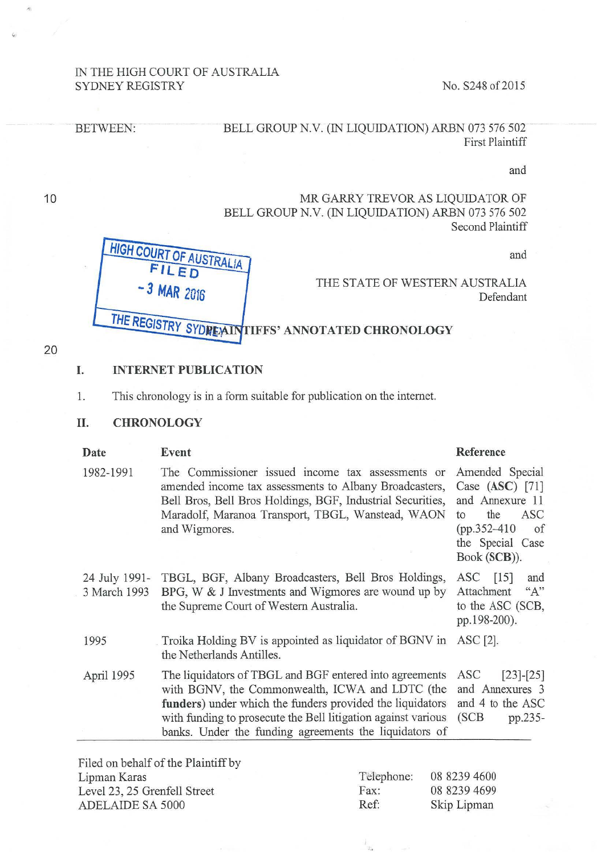### IN THE HIGH COURT OF AUSTRALIA SYDNEY REGISTRY No. S248 of 2015

### BETWEEN: BELL GROUP N.V. (IN LIQUIDATION) ARBN 073 576 502 First Plaintiff

and

## MR GARRY TREVOR AS LIQUIDATOR OF BELL GROUP N.V. (IN LIQUIDATION) ARBN 073 576 502 Second Plaintiff

and

THE STATE OF WESTERN AUSTRALIA Defendant

# THE REGISTRY SYDREALLY TIFFS' ANNOTATED CHRONOLOGY

### 20

10

### I. INTERNET PUBLICATION

FILED  $-3$  MAR 2016

1. This chronology is in a form suitable for publication on the intemet.

USTRALIA

#### 11. CHRONOLOGY

**HIGH COURT OF** 

| Date                          | Event                                                                                                                                                                                                                                                                                              | Reference                                                                                                                                        |
|-------------------------------|----------------------------------------------------------------------------------------------------------------------------------------------------------------------------------------------------------------------------------------------------------------------------------------------------|--------------------------------------------------------------------------------------------------------------------------------------------------|
| 1982-1991                     | The Commissioner issued income tax assessments or<br>amended income tax assessments to Albany Broadcasters,<br>Bell Bros, Bell Bros Holdings, BGF, Industrial Securities,<br>Maradolf, Maranoa Transport, TBGL, Wanstead, WAON<br>and Wigmores.                                                    | Amended Special<br>Case $(ASC)$ [71]<br>and Annexure 11<br>the<br><b>ASC</b><br>to<br>$(pp.352 - 410)$<br>of<br>the Special Case<br>Book (SCB)). |
| 24 July 1991-<br>3 March 1993 | TBGL, BGF, Albany Broadcasters, Bell Bros Holdings,<br>BPG, W & J Investments and Wigmores are wound up by<br>the Supreme Court of Western Australia.                                                                                                                                              | ASC [15]<br>and<br>Attachment<br>$A$ <sup>22</sup><br>to the ASC (SCB,<br>pp.198-200).                                                           |
| 1995                          | Troika Holding BV is appointed as liquidator of BGNV in<br>the Netherlands Antilles.                                                                                                                                                                                                               | $\triangle$ SC [2].                                                                                                                              |
| April 1995                    | The liquidators of TBGL and BGF entered into agreements<br>with BGNV, the Commonwealth, ICWA and LDTC (the<br>funders) under which the funders provided the liquidators<br>with funding to prosecute the Bell litigation against various<br>banks. Under the funding agreements the liquidators of | ASC<br>$[23]-[25]$<br>and Annexures 3<br>and 4 to the ASC<br>(SCB)<br>pp.235-                                                                    |
|                               |                                                                                                                                                                                                                                                                                                    |                                                                                                                                                  |

Filed on behalf of the Plaintiff by Lipman Karas Level 23, 25 Grenfell Street ADELAIDE SA 5000

| Telephone: | 08 8239 4600 |
|------------|--------------|
| Fax:       | 08 8239 4699 |
| Ref:       | Skip Lipman  |

 $\frac{1}{\mathcal{L}_\mathbf{X}}$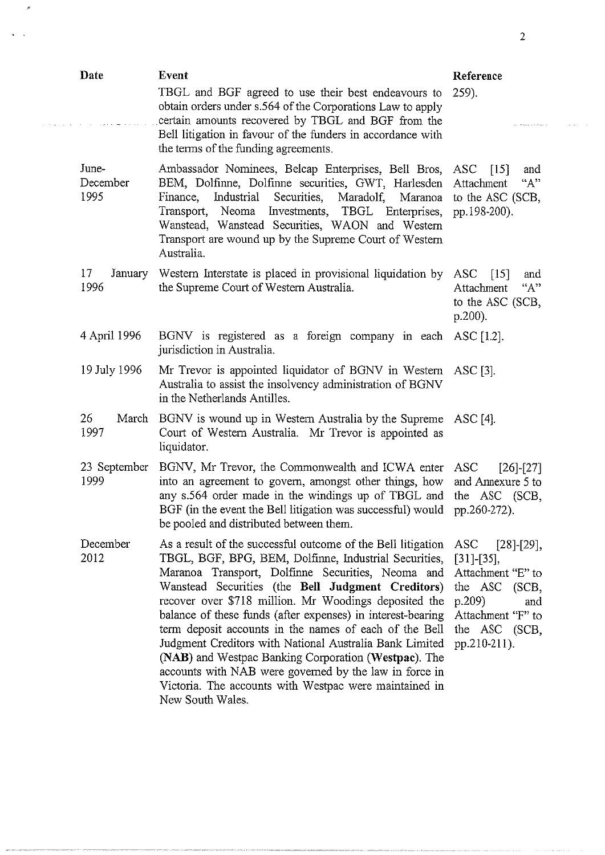| Date                      | <b>Event</b>                                                                                                                                                                                                                                                                                                                                                                                                                                                                                                                                                                                                                                                                 | Reference                                                                                                                                       |
|---------------------------|------------------------------------------------------------------------------------------------------------------------------------------------------------------------------------------------------------------------------------------------------------------------------------------------------------------------------------------------------------------------------------------------------------------------------------------------------------------------------------------------------------------------------------------------------------------------------------------------------------------------------------------------------------------------------|-------------------------------------------------------------------------------------------------------------------------------------------------|
|                           | TBGL and BGF agreed to use their best endeavours to<br>obtain orders under s.564 of the Corporations Law to apply<br>certain amounts recovered by TBGL and BGF from the<br>Bell litigation in favour of the funders in accordance with<br>the terms of the funding agreements.                                                                                                                                                                                                                                                                                                                                                                                               | $259$ ).                                                                                                                                        |
| June-<br>December<br>1995 | Ambassador Nominees, Belcap Enterprises, Bell Bros, ASC [15]<br>BEM, Dolfinne, Dolfinne securities, GWT, Harlesden Attachment<br>Industrial<br>Securities, Maradolf, Maranoa to the ASC (SCB,<br>Finance,<br>Transport,<br>Neoma<br>Investments, TBGL Enterprises,<br>Wanstead, Wanstead Securities, WAON and Western<br>Transport are wound up by the Supreme Court of Western<br>Australia.                                                                                                                                                                                                                                                                                | and<br>"A"<br>pp.198-200).                                                                                                                      |
| 17<br>January<br>1996     | Western Interstate is placed in provisional liquidation by ASC<br>the Supreme Court of Western Australia.                                                                                                                                                                                                                                                                                                                                                                                                                                                                                                                                                                    | $\lceil 15 \rceil$<br>and<br>Attachment<br>"A"<br>to the ASC (SCB,<br>$p.200$ ).                                                                |
| 4 April 1996              | BGNV is registered as a foreign company in each ASC [1.2].<br>jurisdiction in Australia.                                                                                                                                                                                                                                                                                                                                                                                                                                                                                                                                                                                     |                                                                                                                                                 |
| 19 July 1996              | Mr Trevor is appointed liquidator of BGNV in Western ASC [3].<br>Australia to assist the insolvency administration of BGNV<br>in the Netherlands Antilles.                                                                                                                                                                                                                                                                                                                                                                                                                                                                                                                   |                                                                                                                                                 |
| 26<br>March<br>1997       | BGNV is wound up in Western Australia by the Supreme ASC [4].<br>Court of Western Australia. Mr Trevor is appointed as<br>liquidator.                                                                                                                                                                                                                                                                                                                                                                                                                                                                                                                                        |                                                                                                                                                 |
| 23 September<br>1999      | BGNV, Mr Trevor, the Commonwealth and ICWA enter<br>into an agreement to govern, amongst other things, how<br>any s.564 order made in the windings up of TBGL and<br>BGF (in the event the Bell litigation was successful) would<br>be pooled and distributed between them.                                                                                                                                                                                                                                                                                                                                                                                                  | ASC<br>$[26]-[27]$<br>and Annexure 5 to<br>the ASC (SCB,<br>pp.260-272).                                                                        |
| December<br>2012          | As a result of the successful outcome of the Bell litigation<br>TBGL, BGF, BPG, BEM, Dolfinne, Industrial Securities,<br>Maranoa Transport, Dolfinne Securities, Neoma and<br>Wanstead Securities (the Bell Judgment Creditors)<br>recover over \$718 million. Mr Woodings deposited the<br>balance of these funds (after expenses) in interest-bearing<br>term deposit accounts in the names of each of the Bell<br>Judgment Creditors with National Australia Bank Limited<br>(NAB) and Westpac Banking Corporation (Westpac). The<br>accounts with NAB were governed by the law in force in<br>Victoria. The accounts with Westpac were maintained in<br>New South Wales. | ASC<br>$[28]-[29],$<br>$[31]-[35],$<br>Attachment "E" to<br>the ASC (SCB,<br>p.209<br>and<br>Attachment "F" to<br>the ASC (SCB,<br>pp.210-211). |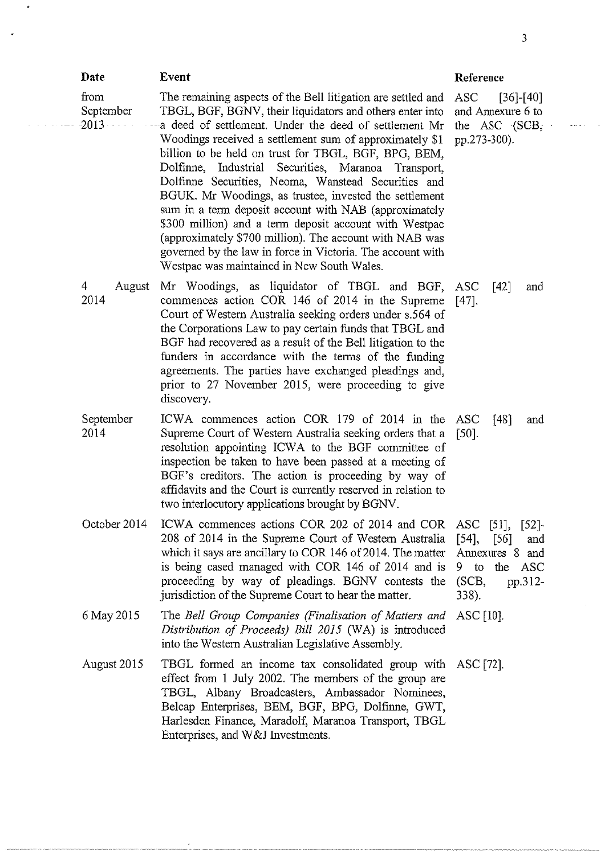| Date                         | Event                                                                                                                                                                                                                                                                                                                                                                                                                                                                                                                                                                                                                                                                                                                                                                     | Reference                                                                                  |
|------------------------------|---------------------------------------------------------------------------------------------------------------------------------------------------------------------------------------------------------------------------------------------------------------------------------------------------------------------------------------------------------------------------------------------------------------------------------------------------------------------------------------------------------------------------------------------------------------------------------------------------------------------------------------------------------------------------------------------------------------------------------------------------------------------------|--------------------------------------------------------------------------------------------|
| from<br>September<br>$-2013$ | The remaining aspects of the Bell litigation are settled and<br>TBGL, BGF, BGNV, their liquidators and others enter into<br>a deed of settlement. Under the deed of settlement Mr<br>Woodings received a settlement sum of approximately \$1<br>billion to be held on trust for TBGL, BGF, BPG, BEM,<br>Dolfinne, Industrial Securities, Maranoa<br>Transport,<br>Dolfinne Securities, Neoma, Wanstead Securities and<br>BGUK. Mr Woodings, as trustee, invested the settlement<br>sum in a term deposit account with NAB (approximately<br>\$300 million) and a term deposit account with Westpac<br>(approximately \$700 million). The account with NAB was<br>governed by the law in force in Victoria. The account with<br>Westpac was maintained in New South Wales. | ASC<br>$[36]$ - $[40]$<br>and Annexure 6 to<br>the ASC $(SCB,$<br>pp.273-300).             |
| 4<br>August<br>2014          | Mr Woodings, as liquidator of TBGL and BGF, ASC<br>commences action COR 146 of 2014 in the Supreme<br>Court of Western Australia seeking orders under s.564 of<br>the Corporations Law to pay certain funds that TBGL and<br>BGF had recovered as a result of the Bell litigation to the<br>funders in accordance with the terms of the funding<br>agreements. The parties have exchanged pleadings and,<br>prior to 27 November 2015, were proceeding to give<br>discovery.                                                                                                                                                                                                                                                                                              | [42]<br>and<br>$[47]$ .                                                                    |
| September<br>2014            | ICWA commences action COR 179 of 2014 in the<br>Supreme Court of Western Australia seeking orders that a<br>resolution appointing ICWA to the BGF committee of<br>inspection be taken to have been passed at a meeting of<br>BGF's creditors. The action is proceeding by way of<br>affidavits and the Court is currently reserved in relation to<br>two interlocutory applications brought by BGNV.                                                                                                                                                                                                                                                                                                                                                                      | ASC<br>$[48]$<br>and<br>[50]                                                               |
| October 2014                 | ICWA commences actions COR 202 of 2014 and COR ASC [51], [52]-<br>208 of 2014 in the Supreme Court of Western Australia<br>which it says are ancillary to COR 146 of 2014. The matter<br>is being cased managed with COR 146 of 2014 and is<br>proceeding by way of pleadings. BGNV contests the<br>jurisdiction of the Supreme Court to hear the matter.                                                                                                                                                                                                                                                                                                                                                                                                                 | [54]<br>$[56]$<br>and<br>Annexures 8 and<br>$9$ to<br>the ASC<br>(SCB,<br>pp.312-<br>338). |
| 6 May 2015                   | The Bell Group Companies (Finalisation of Matters and<br>Distribution of Proceeds) Bill 2015 (WA) is introduced<br>into the Western Australian Legislative Assembly.                                                                                                                                                                                                                                                                                                                                                                                                                                                                                                                                                                                                      | ASC $[10]$ .                                                                               |
| August 2015                  | TBGL formed an income tax consolidated group with ASC [72].<br>effect from 1 July 2002. The members of the group are<br>TBGL, Albany Broadcasters, Ambassador Nominees,<br>Belcap Enterprises, BEM, BGF, BPG, Dolfinne, GWT,<br>Harlesden Finance, Maradolf, Maranoa Transport, TBGL<br>Enterprises, and W&J Investments.                                                                                                                                                                                                                                                                                                                                                                                                                                                 |                                                                                            |

3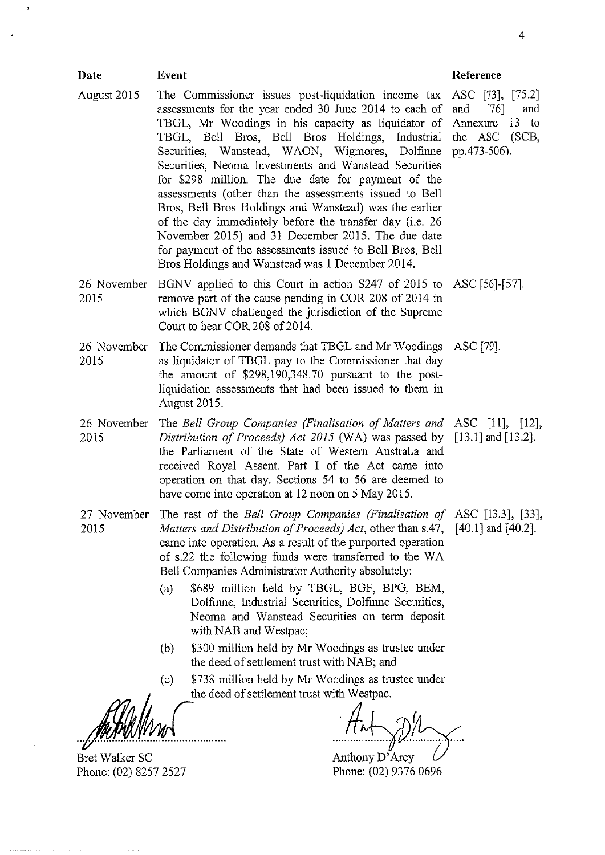| Date                                    | Event                                                                                                                                                                                                                                                                                                                                                                                                                                                                                                                                                                                                                                                                                                                                                                                                     | Reference     |
|-----------------------------------------|-----------------------------------------------------------------------------------------------------------------------------------------------------------------------------------------------------------------------------------------------------------------------------------------------------------------------------------------------------------------------------------------------------------------------------------------------------------------------------------------------------------------------------------------------------------------------------------------------------------------------------------------------------------------------------------------------------------------------------------------------------------------------------------------------------------|---------------|
| August 2015                             | The Commissioner issues post-liquidation income tax ASC [73], [75.2]<br>assessments for the year ended 30 June 2014 to each of and<br>TBGL, Mr Woodings in his capacity as liquidator of Annexure 13 to<br>TBGL, Bell Bros, Bell Bros Holdings, Industrial the ASC (SCB,<br>Securities, Wanstead, WAON, Wigmores, Dolfinne pp.473-506).<br>Securities, Neoma Investments and Wanstead Securities<br>for \$298 million. The due date for payment of the<br>assessments (other than the assessments issued to Bell<br>Bros, Bell Bros Holdings and Wanstead) was the earlier<br>of the day immediately before the transfer day (i.e. 26<br>November 2015) and 31 December 2015. The due date<br>for payment of the assessments issued to Bell Bros, Bell<br>Bros Holdings and Wanstead was 1 December 2014. | $[76]$<br>and |
| 26 November<br>2015                     | BGNV applied to this Court in action S247 of 2015 to ASC [56]-[57].<br>remove part of the cause pending in COR 208 of 2014 in<br>which BGNV challenged the jurisdiction of the Supreme<br>Court to hear COR 208 of 2014.                                                                                                                                                                                                                                                                                                                                                                                                                                                                                                                                                                                  |               |
| 26 November<br>2015                     | The Commissioner demands that TBGL and Mr Woodings ASC [79].<br>as liquidator of TBGL pay to the Commissioner that day<br>the amount of \$298,190,348.70 pursuant to the post-<br>liquidation assessments that had been issued to them in<br>August 2015.                                                                                                                                                                                                                                                                                                                                                                                                                                                                                                                                                 |               |
| 26 November<br>2015                     | The Bell Group Companies (Finalisation of Matters and ASC [11], [12],<br>Distribution of Proceeds) Act 2015 (WA) was passed by [13.1] and [13.2].<br>the Parliament of the State of Western Australia and<br>received Royal Assent. Part I of the Act came into<br>operation on that day. Sections 54 to 56 are deemed to<br>have come into operation at 12 noon on 5 May 2015.                                                                                                                                                                                                                                                                                                                                                                                                                           |               |
| 27 November<br>2015                     | The rest of the Bell Group Companies (Finalisation of ASC [13.3], [33],<br>Matters and Distribution of Proceeds) Act, other than s.47, [40.1] and [40.2].<br>came into operation. As a result of the purported operation<br>of s.22 the following funds were transferred to the WA<br>Bell Companies Administrator Authority absolutely:<br>\$689 million held by TBGL, BGF, BPG, BEM,<br>(a)<br>Dolfinne, Industrial Securities, Dolfinne Securities,<br>Neoma and Wanstead Securities on term deposit<br>with NAB and Westpac;<br>\$300 million held by Mr Woodings as trustee under<br>(b)<br>the deed of settlement trust with NAB; and<br>\$738 million held by Mr Woodings as trustee under<br>$\left( c\right)$<br>the deed of settlement trust with Westpac.                                      |               |
|                                         |                                                                                                                                                                                                                                                                                                                                                                                                                                                                                                                                                                                                                                                                                                                                                                                                           |               |
| Bret Walker SC<br>Phone: (02) 8257 2527 | Anthony D'Arcy<br>Phone: (02) 9376 0696                                                                                                                                                                                                                                                                                                                                                                                                                                                                                                                                                                                                                                                                                                                                                                   |               |

 $\lambda$ 

4